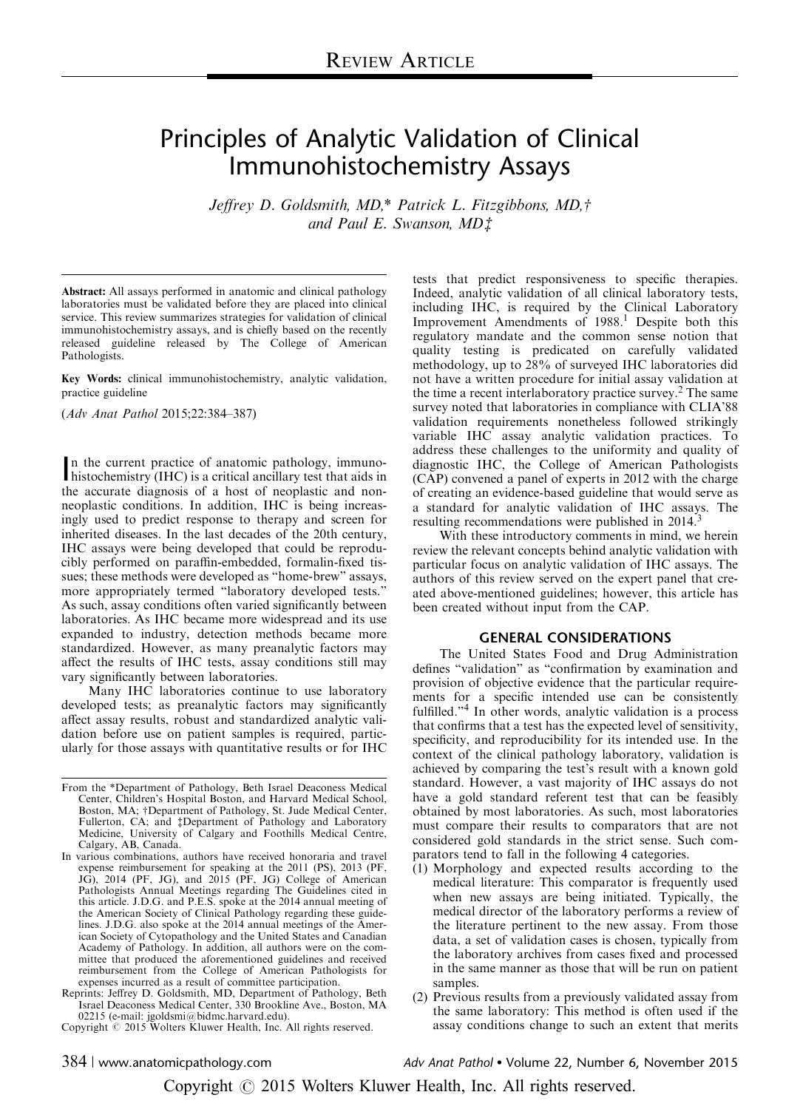# Principles of Analytic Validation of Clinical Immunohistochemistry Assays

Jeffrey D. Goldsmith, MD,\* Patrick L. Fitzgibbons, MD,† and Paul E. Swanson,  $MD_1^+$ 

Abstract: All assays performed in anatomic and clinical pathology laboratories must be validated before they are placed into clinical service. This review summarizes strategies for validation of clinical immunohistochemistry assays, and is chiefly based on the recently released guideline released by The College of American Pathologists.

Key Words: clinical immunohistochemistry, analytic validation, practice guideline

(Adv Anat Pathol 2015;22:384–387)

In the current practice of anatomic pathology, immuno-<br>histochemistry (IHC) is a critical ancillary test that aids in n the current practice of anatomic pathology, immunothe accurate diagnosis of a host of neoplastic and nonneoplastic conditions. In addition, IHC is being increasingly used to predict response to therapy and screen for inherited diseases. In the last decades of the 20th century, IHC assays were being developed that could be reproducibly performed on paraffin-embedded, formalin-fixed tissues; these methods were developed as "home-brew" assays, more appropriately termed "laboratory developed tests." As such, assay conditions often varied significantly between laboratories. As IHC became more widespread and its use expanded to industry, detection methods became more standardized. However, as many preanalytic factors may affect the results of IHC tests, assay conditions still may vary significantly between laboratories.

Many IHC laboratories continue to use laboratory developed tests; as preanalytic factors may significantly affect assay results, robust and standardized analytic validation before use on patient samples is required, particularly for those assays with quantitative results or for IHC tests that predict responsiveness to specific therapies. Indeed, analytic validation of all clinical laboratory tests, including IHC, is required by the Clinical Laboratory Improvement Amendments of [1](#page-2-0)988.<sup>1</sup> Despite both this regulatory mandate and the common sense notion that quality testing is predicated on carefully validated methodology, up to 28% of surveyed IHC laboratories did not have a written procedure for initial assay validation at the time a recent interlaboratory practice survey.<sup>[2](#page-3-0)</sup> The same survey noted that laboratories in compliance with CLIA'88 validation requirements nonetheless followed strikingly variable IHC assay analytic validation practices. To address these challenges to the uniformity and quality of diagnostic IHC, the College of American Pathologists (CAP) convened a panel of experts in 2012 with the charge of creating an evidence-based guideline that would serve as a standard for analytic validation of IHC assays. The resulting recommendations were published in 2014.<sup>[3](#page-3-0)</sup>

With these introductory comments in mind, we herein review the relevant concepts behind analytic validation with particular focus on analytic validation of IHC assays. The authors of this review served on the expert panel that created above-mentioned guidelines; however, this article has been created without input from the CAP.

#### GENERAL CONSIDERATIONS

The United States Food and Drug Administration defines "validation" as "confirmation by examination and provision of objective evidence that the particular requirements for a specific intended use can be consistently fulfilled."[4](#page-3-0) In other words, analytic validation is a process that confirms that a test has the expected level of sensitivity, specificity, and reproducibility for its intended use. In the context of the clinical pathology laboratory, validation is achieved by comparing the test's result with a known gold standard. However, a vast majority of IHC assays do not have a gold standard referent test that can be feasibly obtained by most laboratories. As such, most laboratories must compare their results to comparators that are not considered gold standards in the strict sense. Such comparators tend to fall in the following 4 categories.

- (1) Morphology and expected results according to the medical literature: This comparator is frequently used when new assays are being initiated. Typically, the medical director of the laboratory performs a review of the literature pertinent to the new assay. From those data, a set of validation cases is chosen, typically from the laboratory archives from cases fixed and processed in the same manner as those that will be run on patient samples.
- (2) Previous results from a previously validated assay from the same laboratory: This method is often used if the assay conditions change to such an extent that merits

Adv Anat Pathol . Volume 22, Number 6, November 2015

From the \*Department of Pathology, Beth Israel Deaconess Medical Center, Children's Hospital Boston, and Harvard Medical School, Boston, MA; †Department of Pathology, St. Jude Medical Center,<br>Fullerton, CA; and ‡Department of Pathology and Laboratory<br>Medicine, University of Calgary and Foothills Medical Centre, Calgary, AB, Canada.

In various combinations, authors have received honoraria and travel expense reimbursement for speaking at the 2011 (PS), 2013 (PF, JG), 2014 (PF, JG), and 2015 (PF, JG) College of American Pathologists Annual Meetings regarding The Guidelines cited in this article. J.D.G. and P.E.S. spoke at the 2014 annual meeting of the American Society of Clinical Pathology regarding these guidelines. J.D.G. also spoke at the 2014 annual meetings of the American Society of Cytopathology and the United States and Canadian Academy of Pathology. In addition, all authors were on the committee that produced the aforementioned guidelines and received reimbursement from the College of American Pathologists for expenses incurred as a result of committee participation.

Reprints: Jeffrey D. Goldsmith, MD, Department of Pathology, Beth Israel Deaconess Medical Center, 330 Brookline Ave., Boston, MA 02215 (e-mail: [jgoldsmi@bidmc.harvard.edu\)](mailto:jgoldsmi@bidmc.harvard.edu).

Copyright © 2015 Wolters Kluwer Health, Inc. All rights reserved.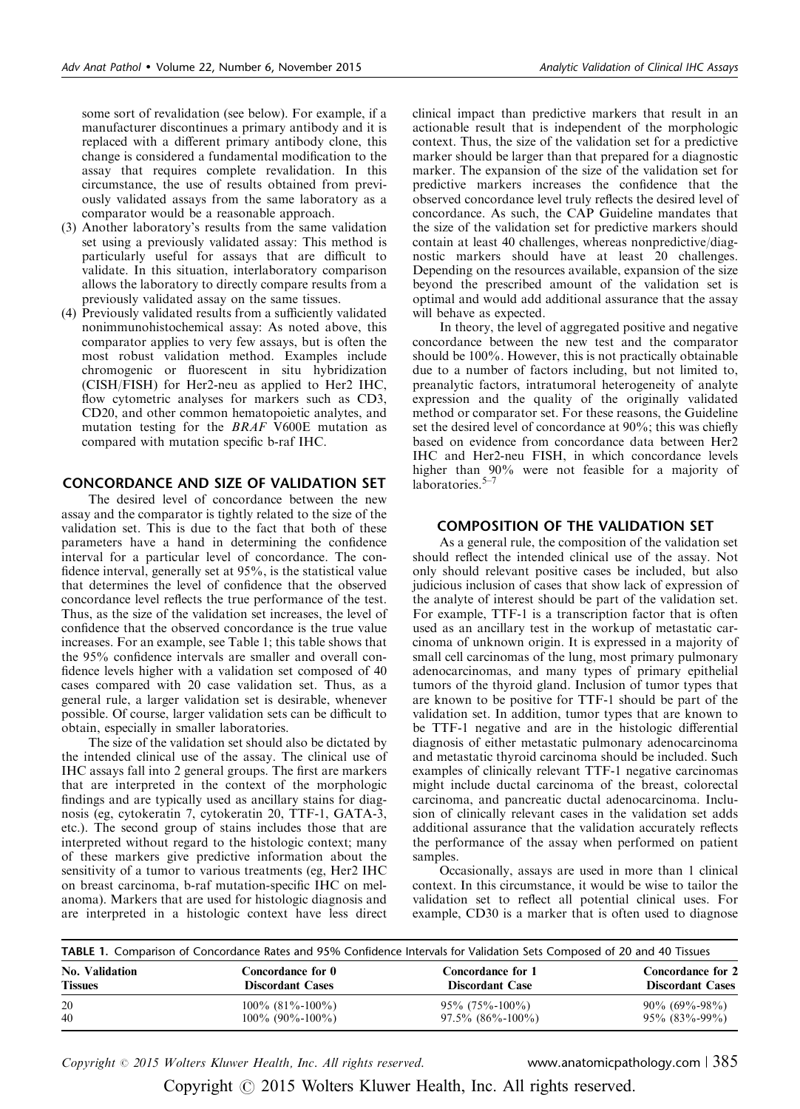some sort of revalidation (see below). For example, if a manufacturer discontinues a primary antibody and it is replaced with a different primary antibody clone, this change is considered a fundamental modification to the assay that requires complete revalidation. In this circumstance, the use of results obtained from previously validated assays from the same laboratory as a comparator would be a reasonable approach.

- (3) Another laboratory's results from the same validation set using a previously validated assay: This method is particularly useful for assays that are difficult to validate. In this situation, interlaboratory comparison allows the laboratory to directly compare results from a previously validated assay on the same tissues.
- (4) Previously validated results from a sufficiently validated nonimmunohistochemical assay: As noted above, this comparator applies to very few assays, but is often the most robust validation method. Examples include chromogenic or fluorescent in situ hybridization (CISH/FISH) for Her2-neu as applied to Her2 IHC, flow cytometric analyses for markers such as CD3, CD20, and other common hematopoietic analytes, and mutation testing for the BRAF V600E mutation as compared with mutation specific b-raf IHC.

## CONCORDANCE AND SIZE OF VALIDATION SET

The desired level of concordance between the new assay and the comparator is tightly related to the size of the validation set. This is due to the fact that both of these parameters have a hand in determining the confidence interval for a particular level of concordance. The confidence interval, generally set at 95%, is the statistical value that determines the level of confidence that the observed concordance level reflects the true performance of the test. Thus, as the size of the validation set increases, the level of confidence that the observed concordance is the true value increases. For an example, see Table 1; this table shows that the 95% confidence intervals are smaller and overall confidence levels higher with a validation set composed of 40 cases compared with 20 case validation set. Thus, as a general rule, a larger validation set is desirable, whenever possible. Of course, larger validation sets can be difficult to obtain, especially in smaller laboratories.

The size of the validation set should also be dictated by the intended clinical use of the assay. The clinical use of IHC assays fall into 2 general groups. The first are markers that are interpreted in the context of the morphologic findings and are typically used as ancillary stains for diagnosis (eg, cytokeratin 7, cytokeratin 20, TTF-1, GATA-3, etc.). The second group of stains includes those that are interpreted without regard to the histologic context; many of these markers give predictive information about the sensitivity of a tumor to various treatments (eg, Her2 IHC on breast carcinoma, b-raf mutation-specific IHC on melanoma). Markers that are used for histologic diagnosis and are interpreted in a histologic context have less direct

clinical impact than predictive markers that result in an actionable result that is independent of the morphologic context. Thus, the size of the validation set for a predictive marker should be larger than that prepared for a diagnostic marker. The expansion of the size of the validation set for predictive markers increases the confidence that the observed concordance level truly reflects the desired level of concordance. As such, the CAP Guideline mandates that the size of the validation set for predictive markers should contain at least 40 challenges, whereas nonpredictive/diagnostic markers should have at least 20 challenges. Depending on the resources available, expansion of the size beyond the prescribed amount of the validation set is optimal and would add additional assurance that the assay will behave as expected.

In theory, the level of aggregated positive and negative concordance between the new test and the comparator should be 100%. However, this is not practically obtainable due to a number of factors including, but not limited to, preanalytic factors, intratumoral heterogeneity of analyte expression and the quality of the originally validated method or comparator set. For these reasons, the Guideline set the desired level of concordance at 90%; this was chiefly based on evidence from concordance data between Her2 IHC and Her2-neu FISH, in which concordance levels higher than 90% were not feasible for a majority of laboratories. $5-7$ 

## COMPOSITION OF THE VALIDATION SET

As a general rule, the composition of the validation set should reflect the intended clinical use of the assay. Not only should relevant positive cases be included, but also judicious inclusion of cases that show lack of expression of the analyte of interest should be part of the validation set. For example, TTF-1 is a transcription factor that is often used as an ancillary test in the workup of metastatic carcinoma of unknown origin. It is expressed in a majority of small cell carcinomas of the lung, most primary pulmonary adenocarcinomas, and many types of primary epithelial tumors of the thyroid gland. Inclusion of tumor types that are known to be positive for TTF-1 should be part of the validation set. In addition, tumor types that are known to be TTF-1 negative and are in the histologic differential diagnosis of either metastatic pulmonary adenocarcinoma and metastatic thyroid carcinoma should be included. Such examples of clinically relevant TTF-1 negative carcinomas might include ductal carcinoma of the breast, colorectal carcinoma, and pancreatic ductal adenocarcinoma. Inclusion of clinically relevant cases in the validation set adds additional assurance that the validation accurately reflects the performance of the assay when performed on patient samples.

Occasionally, assays are used in more than 1 clinical context. In this circumstance, it would be wise to tailor the validation set to reflect all potential clinical uses. For example, CD30 is a marker that is often used to diagnose

| <b>TABLE 1.</b> Comparison of Concordance Rates and 95% Confidence Intervals for Validation Sets Composed of 20 and 40 Tissues |                         |                           |                          |
|--------------------------------------------------------------------------------------------------------------------------------|-------------------------|---------------------------|--------------------------|
| <b>No. Validation</b>                                                                                                          | Concordance for 0       | <b>Concordance for 1</b>  | <b>Concordance for 2</b> |
| <b>Tissues</b>                                                                                                                 | <b>Discordant Cases</b> | <b>Discordant Case</b>    | <b>Discordant Cases</b>  |
| 20                                                                                                                             | $100\%$ (81\%-100\%)    | $95\%$ (75\%-100\%)       | $90\%$ (69%-98%)         |
| 40                                                                                                                             | $100\%$ (90%-100%)      | $97.5\%$ $(86\% - 100\%)$ | $95\%$ (83\%-99\%)       |

Copyright  $\odot$  2015 Wolters Kluwer Health, Inc. All rights reserved. www.anatomicpathology.com | 385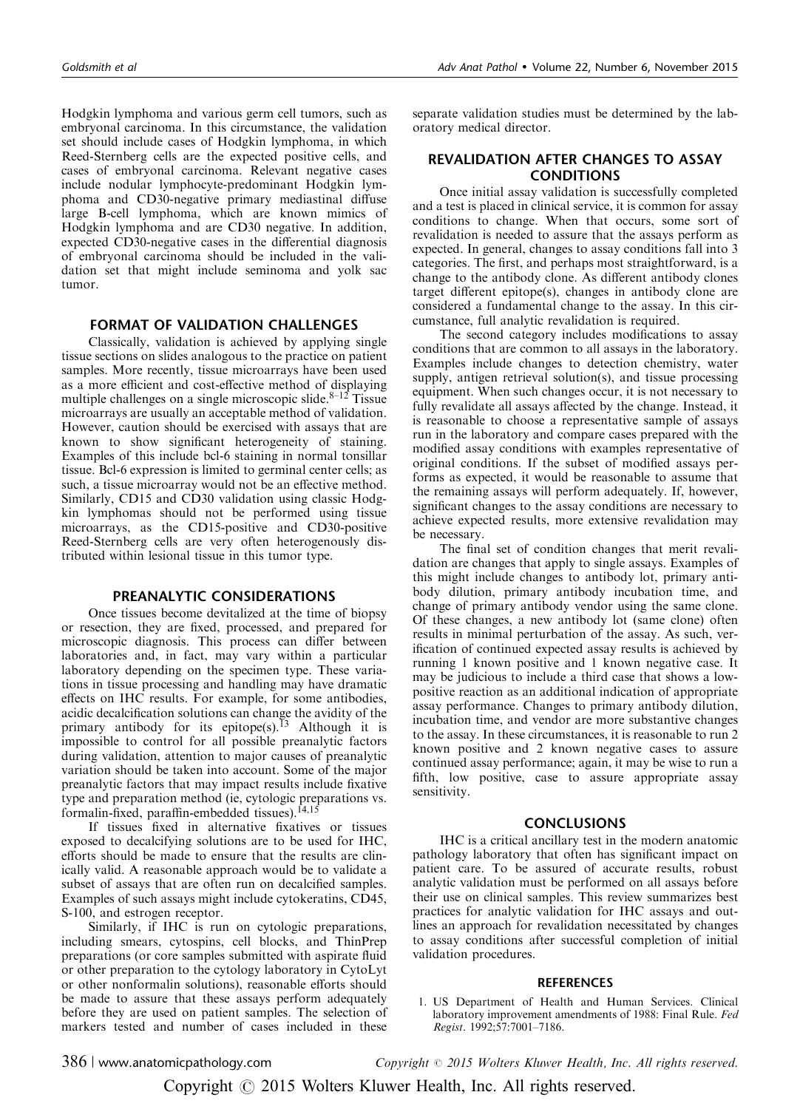<span id="page-2-0"></span>Hodgkin lymphoma and various germ cell tumors, such as embryonal carcinoma. In this circumstance, the validation set should include cases of Hodgkin lymphoma, in which Reed-Sternberg cells are the expected positive cells, and cases of embryonal carcinoma. Relevant negative cases include nodular lymphocyte-predominant Hodgkin lymphoma and CD30-negative primary mediastinal diffuse large B-cell lymphoma, which are known mimics of Hodgkin lymphoma and are CD30 negative. In addition, expected CD30-negative cases in the differential diagnosis of embryonal carcinoma should be included in the validation set that might include seminoma and yolk sac tumor.

### FORMAT OF VALIDATION CHALLENGES

Classically, validation is achieved by applying single tissue sections on slides analogous to the practice on patient samples. More recently, tissue microarrays have been used as a more efficient and cost-effective method of displaying multiple challenges on a single microscopic slide. $8-12$  Tissue microarrays are usually an acceptable method of validation. However, caution should be exercised with assays that are known to show significant heterogeneity of staining. Examples of this include bcl-6 staining in normal tonsillar tissue. Bcl-6 expression is limited to germinal center cells; as such, a tissue microarray would not be an effective method. Similarly, CD15 and CD30 validation using classic Hodgkin lymphomas should not be performed using tissue microarrays, as the CD15-positive and CD30-positive Reed-Sternberg cells are very often heterogenously distributed within lesional tissue in this tumor type.

## PREANALYTIC CONSIDERATIONS

Once tissues become devitalized at the time of biopsy or resection, they are fixed, processed, and prepared for microscopic diagnosis. This process can differ between laboratories and, in fact, may vary within a particular laboratory depending on the specimen type. These variations in tissue processing and handling may have dramatic effects on IHC results. For example, for some antibodies, acidic decalcification solutions can change the avidity of the primary antibody for its epitope(s).<sup>[13](#page-3-0)</sup> Although it is impossible to control for all possible preanalytic factors during validation, attention to major causes of preanalytic variation should be taken into account. Some of the major preanalytic factors that may impact results include fixative type and preparation method (ie, cytologic preparations vs. formalin-fixed, paraffin-embedded tissues).<sup>[14,15](#page-3-0)</sup>

If tissues fixed in alternative fixatives or tissues exposed to decalcifying solutions are to be used for IHC, efforts should be made to ensure that the results are clinically valid. A reasonable approach would be to validate a subset of assays that are often run on decalcified samples. Examples of such assays might include cytokeratins, CD45, S-100, and estrogen receptor.

Similarly, if IHC is run on cytologic preparations, including smears, cytospins, cell blocks, and ThinPrep preparations (or core samples submitted with aspirate fluid or other preparation to the cytology laboratory in CytoLyt or other nonformalin solutions), reasonable efforts should be made to assure that these assays perform adequately before they are used on patient samples. The selection of markers tested and number of cases included in these separate validation studies must be determined by the laboratory medical director.

## REVALIDATION AFTER CHANGES TO ASSAY CONDITIONS

Once initial assay validation is successfully completed and a test is placed in clinical service, it is common for assay conditions to change. When that occurs, some sort of revalidation is needed to assure that the assays perform as expected. In general, changes to assay conditions fall into 3 categories. The first, and perhaps most straightforward, is a change to the antibody clone. As different antibody clones target different epitope(s), changes in antibody clone are considered a fundamental change to the assay. In this circumstance, full analytic revalidation is required.

The second category includes modifications to assay conditions that are common to all assays in the laboratory. Examples include changes to detection chemistry, water supply, antigen retrieval solution(s), and tissue processing equipment. When such changes occur, it is not necessary to fully revalidate all assays affected by the change. Instead, it is reasonable to choose a representative sample of assays run in the laboratory and compare cases prepared with the modified assay conditions with examples representative of original conditions. If the subset of modified assays performs as expected, it would be reasonable to assume that the remaining assays will perform adequately. If, however, significant changes to the assay conditions are necessary to achieve expected results, more extensive revalidation may be necessary.

The final set of condition changes that merit revalidation are changes that apply to single assays. Examples of this might include changes to antibody lot, primary antibody dilution, primary antibody incubation time, and change of primary antibody vendor using the same clone. Of these changes, a new antibody lot (same clone) often results in minimal perturbation of the assay. As such, verification of continued expected assay results is achieved by running 1 known positive and 1 known negative case. It may be judicious to include a third case that shows a lowpositive reaction as an additional indication of appropriate assay performance. Changes to primary antibody dilution, incubation time, and vendor are more substantive changes to the assay. In these circumstances, it is reasonable to run 2 known positive and 2 known negative cases to assure continued assay performance; again, it may be wise to run a fifth, low positive, case to assure appropriate assay sensitivity.

#### **CONCLUSIONS**

IHC is a critical ancillary test in the modern anatomic pathology laboratory that often has significant impact on patient care. To be assured of accurate results, robust analytic validation must be performed on all assays before their use on clinical samples. This review summarizes best practices for analytic validation for IHC assays and outlines an approach for revalidation necessitated by changes to assay conditions after successful completion of initial validation procedures.

#### **REFERENCES**

1. US Department of Health and Human Services. Clinical laboratory improvement amendments of 1988: Final Rule. Fed Regist. 1992;57:7001–7186.

386 <sup>|</sup> www.anatomicpathology.com Copyright <sup>r</sup> 2015 Wolters Kluwer Health, Inc. All rights reserved.